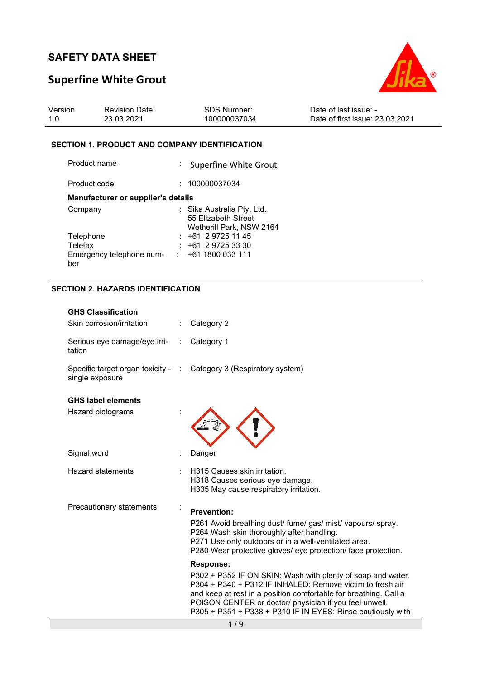# **Superfine White Grout**



| Version | <b>Revision Date:</b> | SDS Number:  | Date of last issue: -           |
|---------|-----------------------|--------------|---------------------------------|
| 1.0     | 23.03.2021            | 100000037034 | Date of first issue: 23.03.2021 |

## **SECTION 1. PRODUCT AND COMPANY IDENTIFICATION**

| Product name                       | Superfine White Grout                                                         |
|------------------------------------|-------------------------------------------------------------------------------|
| Product code                       | : 100000037034                                                                |
| Manufacturer or supplier's details |                                                                               |
| Company                            | : Sika Australia Pty. Ltd.<br>55 Elizabeth Street<br>Wetherill Park, NSW 2164 |
| Telephone                          | $: +61297251145$                                                              |
| Telefax                            | $: +61297253330$                                                              |
| Emergency telephone num-<br>ber    | +61 1800 033 111                                                              |

## **SECTION 2. HAZARDS IDENTIFICATION**

| <b>GHS Classification</b><br>Skin corrosion/irritation | Category 2                                                                                                                                                                                                                                                                                                                                                                                                                                                                                                                                                                                           |
|--------------------------------------------------------|------------------------------------------------------------------------------------------------------------------------------------------------------------------------------------------------------------------------------------------------------------------------------------------------------------------------------------------------------------------------------------------------------------------------------------------------------------------------------------------------------------------------------------------------------------------------------------------------------|
| Serious eye damage/eye irri-<br>tation                 | Category 1                                                                                                                                                                                                                                                                                                                                                                                                                                                                                                                                                                                           |
| Specific target organ toxicity - :<br>single exposure  | Category 3 (Respiratory system)                                                                                                                                                                                                                                                                                                                                                                                                                                                                                                                                                                      |
| <b>GHS label elements</b><br>Hazard pictograms         |                                                                                                                                                                                                                                                                                                                                                                                                                                                                                                                                                                                                      |
| Signal word                                            | Danger                                                                                                                                                                                                                                                                                                                                                                                                                                                                                                                                                                                               |
| <b>Hazard statements</b>                               | H315 Causes skin irritation.<br>H318 Causes serious eye damage.<br>H335 May cause respiratory irritation.                                                                                                                                                                                                                                                                                                                                                                                                                                                                                            |
| Precautionary statements                               | <b>Prevention:</b><br>P261 Avoid breathing dust/ fume/ gas/ mist/ vapours/ spray.<br>P264 Wash skin thoroughly after handling.<br>P271 Use only outdoors or in a well-ventilated area.<br>P280 Wear protective gloves/ eye protection/ face protection.<br><b>Response:</b><br>P302 + P352 IF ON SKIN: Wash with plenty of soap and water.<br>P304 + P340 + P312 IF INHALED: Remove victim to fresh air<br>and keep at rest in a position comfortable for breathing. Call a<br>POISON CENTER or doctor/ physician if you feel unwell.<br>P305 + P351 + P338 + P310 IF IN EYES: Rinse cautiously with |
|                                                        | 1/9                                                                                                                                                                                                                                                                                                                                                                                                                                                                                                                                                                                                  |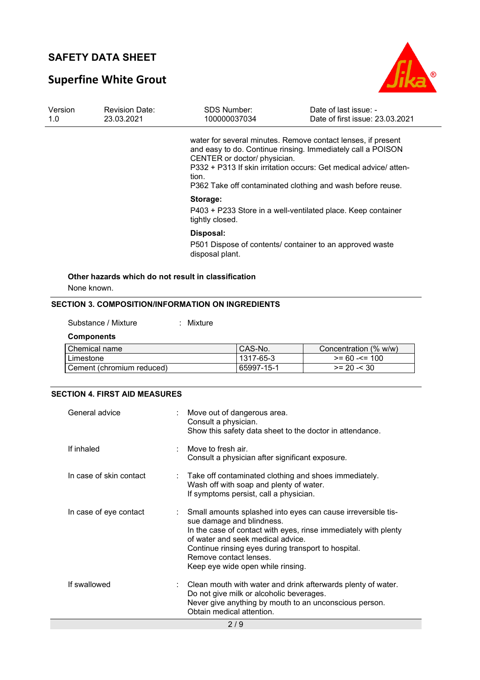# **Superfine White Grout**



| Version | <b>Revision Date:</b><br>23.03.2021 | SDS Number:<br>100000037034  | Date of last issue: -<br>Date of first issue: 23.03.2021                                                                                                                                         |
|---------|-------------------------------------|------------------------------|--------------------------------------------------------------------------------------------------------------------------------------------------------------------------------------------------|
|         |                                     | CENTER or doctor/ physician. | water for several minutes. Remove contact lenses, if present<br>and easy to do. Continue rinsing. Immediately call a POISON<br>P332 + P313 If skin irritation occurs: Get medical advice/ atten- |
|         |                                     | tion.                        | P362 Take off contaminated clothing and wash before reuse.                                                                                                                                       |
|         |                                     | Storage:<br>tightly closed.  | P403 + P233 Store in a well-ventilated place. Keep container                                                                                                                                     |
|         |                                     | Disposal:                    |                                                                                                                                                                                                  |
|         |                                     | disposal plant.              | P501 Dispose of contents/ container to an approved waste                                                                                                                                         |

## **SECTION 3. COMPOSITION/INFORMATION ON INGREDIENTS**

Substance / Mixture : Mixture

### **Components**

| Chemical name             | CAS-No.    | Concentration (% w/w) |
|---------------------------|------------|-----------------------|
| Limestone                 | 1317-65-3  | $>= 60 - 5 = 100$     |
| Cement (chromium reduced) | 65997-15-1 | $>= 20 - 30$          |

## **SECTION 4. FIRST AID MEASURES**

| General advice          | Move out of dangerous area.<br>Consult a physician.<br>Show this safety data sheet to the doctor in attendance.                                                                                                                                                                                                         |
|-------------------------|-------------------------------------------------------------------------------------------------------------------------------------------------------------------------------------------------------------------------------------------------------------------------------------------------------------------------|
| If inhaled              | Move to fresh air.<br>Consult a physician after significant exposure.                                                                                                                                                                                                                                                   |
| In case of skin contact | : Take off contaminated clothing and shoes immediately.<br>Wash off with soap and plenty of water.<br>If symptoms persist, call a physician.                                                                                                                                                                            |
| In case of eye contact  | Small amounts splashed into eyes can cause irreversible tis-<br>sue damage and blindness.<br>In the case of contact with eyes, rinse immediately with plenty<br>of water and seek medical advice.<br>Continue rinsing eyes during transport to hospital.<br>Remove contact lenses.<br>Keep eye wide open while rinsing. |
| If swallowed            | $\therefore$ Clean mouth with water and drink afterwards plenty of water.<br>Do not give milk or alcoholic beverages.<br>Never give anything by mouth to an unconscious person.<br>Obtain medical attention.                                                                                                            |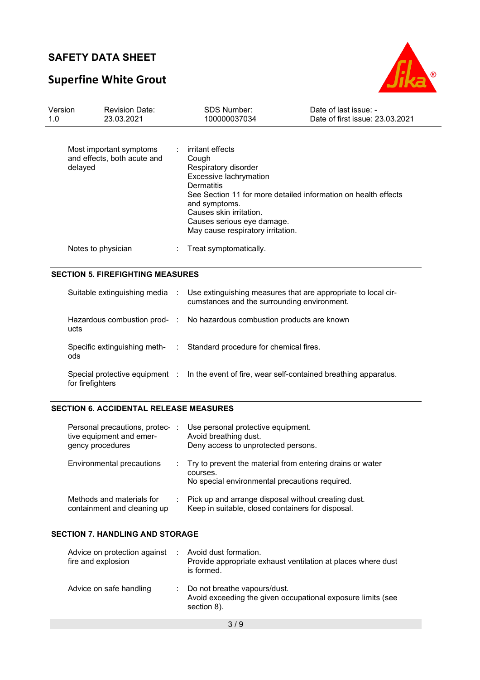# **Superfine White Grout**



| Version<br>1.0 | <b>Revision Date:</b><br>23.03.2021                               |  | <b>SDS Number:</b><br>100000037034                                                                                                                                                                                                                                                | Date of last issue: -<br>Date of first issue: 23.03.2021 |  |
|----------------|-------------------------------------------------------------------|--|-----------------------------------------------------------------------------------------------------------------------------------------------------------------------------------------------------------------------------------------------------------------------------------|----------------------------------------------------------|--|
|                | Most important symptoms<br>and effects, both acute and<br>delayed |  | irritant effects<br>Cough<br>Respiratory disorder<br>Excessive lachrymation<br><b>Dermatitis</b><br>See Section 11 for more detailed information on health effects<br>and symptoms.<br>Causes skin irritation.<br>Causes serious eye damage.<br>May cause respiratory irritation. |                                                          |  |
|                | Notes to physician                                                |  | Treat symptomatically.                                                                                                                                                                                                                                                            |                                                          |  |
|                | <b>SECTION 5. FIREFIGHTING MEASURES</b>                           |  |                                                                                                                                                                                                                                                                                   |                                                          |  |
|                | Suitable extinguishing media :                                    |  | Use extinguishing measures that are appropriate to local cir-<br>cumstances and the surrounding environment.                                                                                                                                                                      |                                                          |  |
|                | Hazardous combustion prod- :<br>ucts                              |  | No hazardous combustion products are known                                                                                                                                                                                                                                        |                                                          |  |
|                | Specific extinguishing meth-<br>:<br>ods                          |  | Standard procedure for chemical fires.                                                                                                                                                                                                                                            |                                                          |  |
|                | for firefighters                                                  |  | Special protective equipment : In the event of fire, wear self-contained breathing apparatus.                                                                                                                                                                                     |                                                          |  |

## **SECTION 6. ACCIDENTAL RELEASE MEASURES**

| Personal precautions, protec-<br>tive equipment and emer-<br>gency procedures | Use personal protective equipment.<br>Avoid breathing dust.<br>Deny access to unprotected persons.                        |
|-------------------------------------------------------------------------------|---------------------------------------------------------------------------------------------------------------------------|
| Environmental precautions                                                     | : Try to prevent the material from entering drains or water<br>courses.<br>No special environmental precautions required. |
| Methods and materials for<br>containment and cleaning up                      | : Pick up and arrange disposal without creating dust.<br>Keep in suitable, closed containers for disposal.                |

## **SECTION 7. HANDLING AND STORAGE**

| Advice on protection against<br>fire and explosion | Avoid dust formation.<br>Provide appropriate exhaust ventilation at places where dust<br>is formed.        |
|----------------------------------------------------|------------------------------------------------------------------------------------------------------------|
| Advice on safe handling                            | Do not breathe vapours/dust.<br>Avoid exceeding the given occupational exposure limits (see<br>section 8). |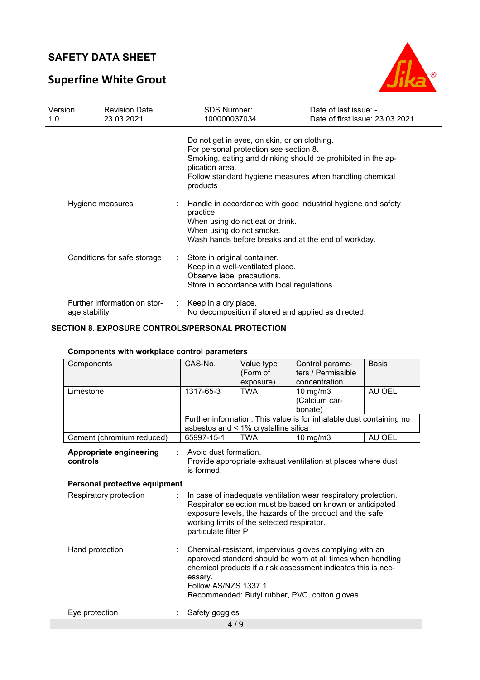# **Superfine White Grout**



| Version<br>1.0 | <b>Revision Date:</b><br>23.03.2021           |                               | <b>SDS Number:</b><br>100000037034                                                                                                            | Date of last issue: -<br>Date of first issue: 23.03.2021                                                                |
|----------------|-----------------------------------------------|-------------------------------|-----------------------------------------------------------------------------------------------------------------------------------------------|-------------------------------------------------------------------------------------------------------------------------|
|                |                                               |                               | Do not get in eyes, on skin, or on clothing.<br>For personal protection see section 8.<br>plication area.<br>products                         | Smoking, eating and drinking should be prohibited in the ap-<br>Follow standard hygiene measures when handling chemical |
|                | Hygiene measures                              |                               | practice.<br>When using do not eat or drink.<br>When using do not smoke.<br>Wash hands before breaks and at the end of workday.               | Handle in accordance with good industrial hygiene and safety                                                            |
|                | Conditions for safe storage                   | $\mathcal{L}^{\mathcal{L}}$ . | Store in original container.<br>Keep in a well-ventilated place.<br>Observe label precautions.<br>Store in accordance with local regulations. |                                                                                                                         |
|                | Further information on stor-<br>age stability | ÷.                            | Keep in a dry place.<br>No decomposition if stored and applied as directed.                                                                   |                                                                                                                         |

## **SECTION 8. EXPOSURE CONTROLS/PERSONAL PROTECTION**

| Components                          | CAS-No.                             | Value type<br>(Form of<br>exposure)        | Control parame-<br>ters / Permissible<br>concentration                                                                                                                                                                                   | <b>Basis</b> |
|-------------------------------------|-------------------------------------|--------------------------------------------|------------------------------------------------------------------------------------------------------------------------------------------------------------------------------------------------------------------------------------------|--------------|
| Limestone                           | 1317-65-3                           | <b>TWA</b>                                 | $10 \text{ mg/m}$ 3<br>(Calcium car-<br>bonate)                                                                                                                                                                                          | AU OEL       |
|                                     |                                     | asbestos and < 1% crystalline silica       | Further information: This value is for inhalable dust containing no                                                                                                                                                                      |              |
| Cement (chromium reduced)           | 65997-15-1                          | <b>TWA</b>                                 | $10 \text{ mg/m}$ 3                                                                                                                                                                                                                      | AU OEL       |
| Appropriate engineering<br>controls | Avoid dust formation.<br>is formed. |                                            | Provide appropriate exhaust ventilation at places where dust                                                                                                                                                                             |              |
| Personal protective equipment       |                                     |                                            |                                                                                                                                                                                                                                          |              |
| Respiratory protection              | particulate filter P                | working limits of the selected respirator. | In case of inadequate ventilation wear respiratory protection.<br>Respirator selection must be based on known or anticipated<br>exposure levels, the hazards of the product and the safe                                                 |              |
| Hand protection                     | essary.<br>Follow AS/NZS 1337.1     |                                            | Chemical-resistant, impervious gloves complying with an<br>approved standard should be worn at all times when handling<br>chemical products if a risk assessment indicates this is nec-<br>Recommended: Butyl rubber, PVC, cotton gloves |              |
| Eye protection                      | Safety goggles                      |                                            |                                                                                                                                                                                                                                          |              |

## **Components with workplace control parameters**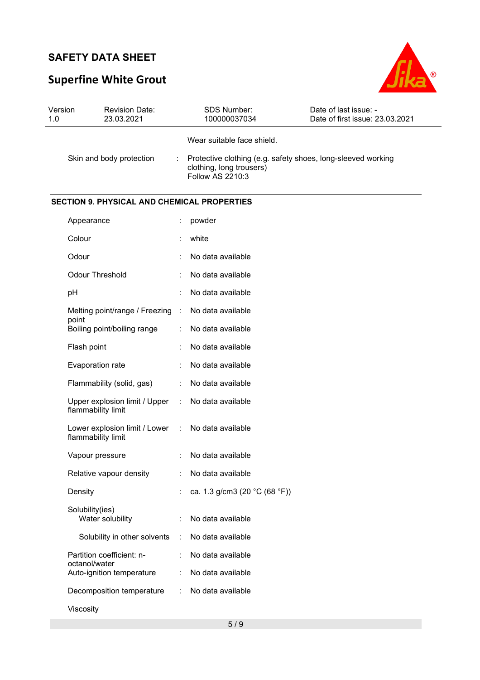# **Superfine White Grout**



| Version<br>1.0 | <b>Revision Date:</b><br>23.03.2021                   |                      | SDS Number:<br>100000037034                                                                                  | Date of last issue: -<br>Date of first issue: 23.03.2021 |
|----------------|-------------------------------------------------------|----------------------|--------------------------------------------------------------------------------------------------------------|----------------------------------------------------------|
|                |                                                       |                      | Wear suitable face shield.                                                                                   |                                                          |
|                | Skin and body protection                              |                      | Protective clothing (e.g. safety shoes, long-sleeved working<br>clothing, long trousers)<br>Follow AS 2210:3 |                                                          |
|                | <b>SECTION 9. PHYSICAL AND CHEMICAL PROPERTIES</b>    |                      |                                                                                                              |                                                          |
|                | Appearance                                            |                      | powder                                                                                                       |                                                          |
|                | Colour                                                |                      | white                                                                                                        |                                                          |
|                | Odour                                                 |                      | No data available                                                                                            |                                                          |
|                | <b>Odour Threshold</b>                                |                      | No data available                                                                                            |                                                          |
|                | pH                                                    |                      | No data available                                                                                            |                                                          |
|                | Melting point/range / Freezing                        | $\sim$               | No data available                                                                                            |                                                          |
|                | point<br>Boiling point/boiling range                  |                      | No data available                                                                                            |                                                          |
|                | Flash point                                           |                      | No data available                                                                                            |                                                          |
|                | Evaporation rate                                      |                      | No data available                                                                                            |                                                          |
|                | Flammability (solid, gas)                             | $\ddot{\cdot}$       | No data available                                                                                            |                                                          |
|                | Upper explosion limit / Upper<br>flammability limit   | $\ddot{\phantom{a}}$ | No data available                                                                                            |                                                          |
|                | Lower explosion limit / Lower :<br>flammability limit |                      | No data available                                                                                            |                                                          |
|                | Vapour pressure                                       | ÷                    | No data available                                                                                            |                                                          |
|                | Relative vapour density                               |                      | No data available                                                                                            |                                                          |
|                | Density                                               |                      | ca. 1.3 g/cm3 (20 °C (68 °F))                                                                                |                                                          |
|                | Solubility(ies)<br>Water solubility                   |                      | No data available                                                                                            |                                                          |
|                | Solubility in other solvents                          | $\ddot{\phantom{a}}$ | No data available                                                                                            |                                                          |
|                | Partition coefficient: n-<br>octanol/water            |                      | No data available                                                                                            |                                                          |
|                | Auto-ignition temperature                             | $\ddot{\phantom{a}}$ | No data available                                                                                            |                                                          |
|                | Decomposition temperature                             | $\ddot{\phantom{a}}$ | No data available                                                                                            |                                                          |
|                | Viscosity                                             |                      |                                                                                                              |                                                          |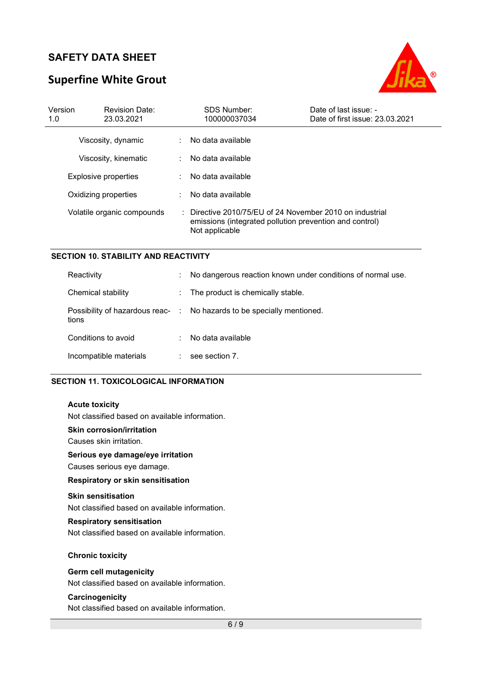# **Superfine White Grout**



| Version<br>1.0             | <b>Revision Date:</b><br>23.03.2021 |                                                                                                                                       | <b>SDS Number:</b><br>100000037034 | Date of last issue: -<br>Date of first issue: 23.03.2021 |
|----------------------------|-------------------------------------|---------------------------------------------------------------------------------------------------------------------------------------|------------------------------------|----------------------------------------------------------|
|                            | Viscosity, dynamic                  |                                                                                                                                       | : No data available                |                                                          |
|                            | Viscosity, kinematic                |                                                                                                                                       | No data available                  |                                                          |
|                            | Explosive properties                |                                                                                                                                       | No data available                  |                                                          |
|                            | Oxidizing properties                |                                                                                                                                       | No data available                  |                                                          |
| Volatile organic compounds |                                     | : Directive 2010/75/EU of 24 November 2010 on industrial<br>emissions (integrated pollution prevention and control)<br>Not applicable |                                    |                                                          |

#### **SECTION 10. STABILITY AND REACTIVITY**

| Reactivity             | ÷.                           | No dangerous reaction known under conditions of normal use.            |
|------------------------|------------------------------|------------------------------------------------------------------------|
| Chemical stability     | $\mathcal{L}_{\mathrm{max}}$ | The product is chemically stable.                                      |
| tions                  |                              | Possibility of hazardous reac- : No hazards to be specially mentioned. |
| Conditions to avoid    |                              | No data available                                                      |
| Incompatible materials | ÷.                           | see section 7.                                                         |

#### **SECTION 11. TOXICOLOGICAL INFORMATION**

#### **Acute toxicity**

Not classified based on available information.

#### **Skin corrosion/irritation**

Causes skin irritation.

## **Serious eye damage/eye irritation**

Causes serious eye damage.

### **Respiratory or skin sensitisation**

#### **Skin sensitisation**

Not classified based on available information.

#### **Respiratory sensitisation**

Not classified based on available information.

#### **Chronic toxicity**

#### **Germ cell mutagenicity**

Not classified based on available information.

#### **Carcinogenicity**

Not classified based on available information.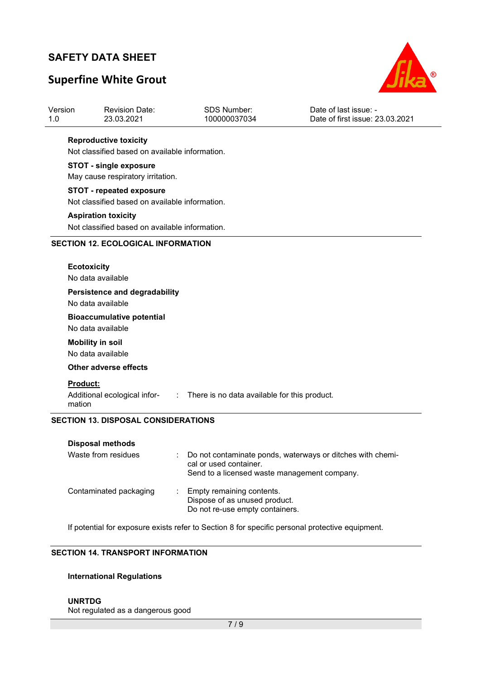Version

# **Superfine White Grout**

Revision Date:



Date of last issue: -

| 1.0 | 23.03.2021                                                                        | 100000037034 | Date of first issue: 23.03.2021 |  |  |  |
|-----|-----------------------------------------------------------------------------------|--------------|---------------------------------|--|--|--|
|     | <b>Reproductive toxicity</b><br>Not classified based on available information.    |              |                                 |  |  |  |
|     | <b>STOT - single exposure</b><br>May cause respiratory irritation.                |              |                                 |  |  |  |
|     | <b>STOT - repeated exposure</b><br>Not classified based on available information. |              |                                 |  |  |  |
|     | <b>Aspiration toxicity</b><br>Not classified based on available information.      |              |                                 |  |  |  |
|     | <b>SECTION 12. ECOLOGICAL INFORMATION</b>                                         |              |                                 |  |  |  |
|     | <b>Ecotoxicity</b><br>No data available                                           |              |                                 |  |  |  |
|     | Persistence and degradability<br>No data available                                |              |                                 |  |  |  |
|     | <b>Bioaccumulative potential</b><br>No data available                             |              |                                 |  |  |  |
|     | <b>Mobility in soil</b><br>No data available                                      |              |                                 |  |  |  |

SDS Number:

**Other adverse effects** 

#### **Product:**

Additional ecological infor-: There is no data available for this product. mation

#### **SECTION 13. DISPOSAL CONSIDERATIONS**

| Disposal methods<br>Waste from residues | Do not contaminate ponds, waterways or ditches with chemi-<br>cal or used container.<br>Send to a licensed waste management company. |
|-----------------------------------------|--------------------------------------------------------------------------------------------------------------------------------------|
| Contaminated packaging                  | Empty remaining contents.<br>Dispose of as unused product.<br>Do not re-use empty containers.                                        |

If potential for exposure exists refer to Section 8 for specific personal protective equipment.

## **SECTION 14. TRANSPORT INFORMATION**

#### **International Regulations**

#### **UNRTDG**

Not regulated as a dangerous good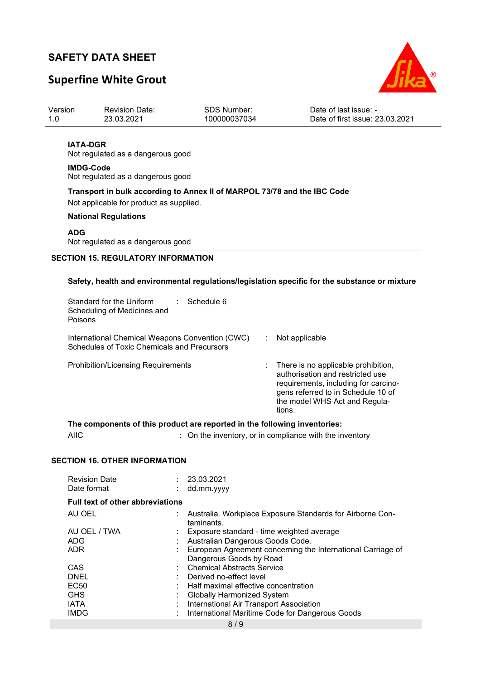## **Superfine White Grout**



| Date of first issue: 23.03.2021<br>23.03.2021<br>100000037034<br>1.0 |  |
|----------------------------------------------------------------------|--|
|                                                                      |  |

#### **IATA-DGR**

Not regulated as a dangerous good

#### **IMDG-Code** Not regulated as a dangerous good

**Transport in bulk according to Annex II of MARPOL 73/78 and the IBC Code** 

Not applicable for product as supplied.

#### **National Regulations**

#### **ADG**

Not regulated as a dangerous good

### **SECTION 15. REGULATORY INFORMATION**

#### **Safety, health and environmental regulations/legislation specific for the substance or mixture**

| Standard for the Uniform<br>Scheduling of Medicines and<br>Poisons                             | ∴ Schedule 6 |                                                                                                                                                                                                               |
|------------------------------------------------------------------------------------------------|--------------|---------------------------------------------------------------------------------------------------------------------------------------------------------------------------------------------------------------|
| International Chemical Weapons Convention (CWC)<br>Schedules of Toxic Chemicals and Precursors |              | Not applicable                                                                                                                                                                                                |
| <b>Prohibition/Licensing Requirements</b>                                                      |              | $\therefore$ There is no applicable prohibition,<br>authorisation and restricted use<br>requirements, including for carcino-<br>gens referred to in Schedule 10 of<br>the model WHS Act and Regula-<br>tions. |

#### **The components of this product are reported in the following inventories:**

AIIC **interest and the inventory**, or in compliance with the inventory

#### **SECTION 16. OTHER INFORMATION**

| <b>Revision Date</b><br>Date format     | : 23.03.2021<br>dd.mm.yyyy                                              |
|-----------------------------------------|-------------------------------------------------------------------------|
| <b>Full text of other abbreviations</b> |                                                                         |
| AU OEL                                  | Australia. Workplace Exposure Standards for Airborne Con-<br>taminants. |
| AU OEL / TWA                            | Exposure standard - time weighted average                               |
| ADG                                     | Australian Dangerous Goods Code.                                        |
| <b>ADR</b>                              | European Agreement concerning the International Carriage of             |
|                                         | Dangerous Goods by Road                                                 |
| CAS                                     | : Chemical Abstracts Service                                            |
| DNEL                                    | Derived no-effect level                                                 |
| EC <sub>50</sub>                        | Half maximal effective concentration                                    |
| <b>GHS</b>                              | <b>Globally Harmonized System</b>                                       |
| <b>IATA</b>                             | International Air Transport Association                                 |
| <b>IMDG</b>                             | International Maritime Code for Dangerous Goods                         |
|                                         |                                                                         |